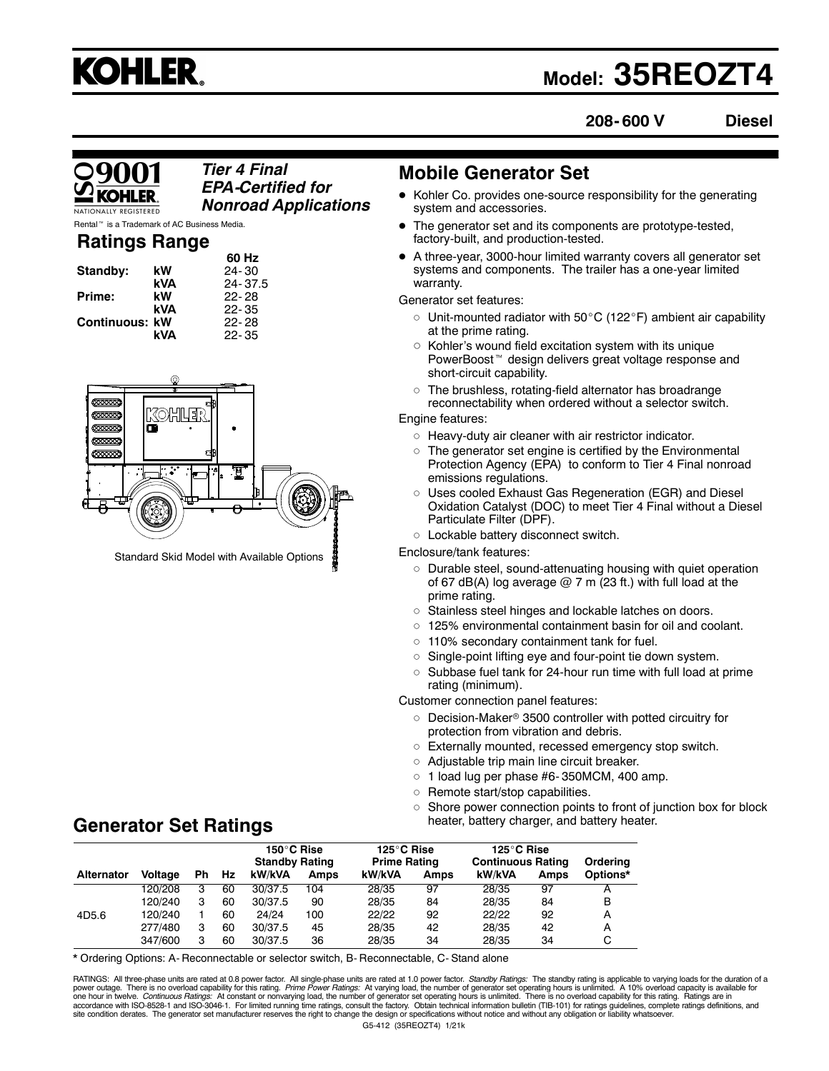

# **Model: 35REOZT4**

**208- 600 V Diesel**

## *Tier 4 Final EPA-Certified for Nonroad Applications*

is a Trademark of AC Business Media.

## **Ratings Range**

|                       |            | 60 Hz     |
|-----------------------|------------|-----------|
| Standby:              | kW         | $24 - 30$ |
|                       | <b>kVA</b> | 24-37.5   |
| Prime:                | kW         | $22 - 28$ |
|                       | kVA        | $22 - 35$ |
| <b>Continuous: kW</b> |            | $22 - 28$ |
|                       | kVA        | $22 - 35$ |



Standard Skid Model with Available Options

**Generator Set Ratings**

## **Mobile Generator Set**

- Kohler Co. provides one-source responsibility for the generating system and accessories.
- The generator set and its components are prototype-tested, factory-built, and production-tested.
- A three-year, 3000-hour limited warranty covers all generator set systems and components. The trailer has a one-year limited warranty.

Generator set features:

- $\circ$  Unit-mounted radiator with 50°C (122°F) ambient air capability at the prime rating.
- $\circ~$  Kohler's wound field excitation system with its unique PowerBoost<sup>™</sup> design delivers great voltage response and short-circuit capability.
- $\, \circ \,$  The brushless, rotating-field alternator has broadrange reconnectability when ordered without a selector switch.

## Engine features:

- Heavy-duty air cleaner with air restrictor indicator.
- $\circ~$  The generator set engine is certified by the Environmental Protection Agency (EPA) to conform to Tier 4 Final nonroad emissions regulations.
- $\circ$  Uses cooled Exhaust Gas Regeneration (EGR) and Diesel Oxidation Catalyst (DOC) to meet Tier 4 Final without a Diesel Particulate Filter (DPF).
- Lockable battery disconnect switch.

Enclosure/tank features:

- Durable steel, sound-attenuating housing with quiet operation of 67 dB(A) log average  $@$  7 m (23 ft.) with full load at the prime rating.
- Stainless steel hinges and lockable latches on doors.
- 125% environmental containment basin for oil and coolant.
- $\, \circ \,$  110% secondary containment tank for fuel.
- $\circ~$  Single-point lifting eye and four-point tie down system.
- $\circ$  Subbase fuel tank for 24-hour run time with full load at prime rating (minimum).

Customer connection panel features:

- Decision-Maker® 3500 controller with potted circuitry for protection from vibration and debris.
- $\circ~$  Externally mounted, recessed emergency stop switch.
- Adjustable trip main line circuit breaker.
	- $\circ$  1 load lug per phase #6-350MCM, 400 amp.
	- $\circ$ Remote start/stop capabilities.
	- $\circ$  Shore power connection points to front of junction box for block heater, battery charger, and battery heater.

|            |                |    |     | 150°C Rise<br><b>Standby Rating</b> |             | 125°C Rise<br><b>Prime Rating</b> |      | 125°C Rise<br><b>Continuous Rating</b> |             | Orderina |
|------------|----------------|----|-----|-------------------------------------|-------------|-----------------------------------|------|----------------------------------------|-------------|----------|
| Alternator | <b>Voltage</b> | Ph | Hz. | kW/kVA                              | <b>Amps</b> | kW/kVA                            | Amps | kW/kVA                                 | <b>Amps</b> | Options* |
|            | 120/208        | з  | 60  | 30/37.5                             | 104         | 28/35                             | 97   | 28/35                                  | 97          | А        |
|            | 120/240        | з  | 60  | 30/37.5                             | 90          | 28/35                             | 84   | 28/35                                  | 84          | B        |
| 4D5.6      | 120/240        |    | 60  | 24/24                               | 100         | 22/22                             | 92   | 22/22                                  | 92          | А        |
|            | 277/480        | з  | 60  | 30/37.5                             | 45          | 28/35                             | 42   | 28/35                                  | 42          | А        |
|            | 347/600        | з  | 60  | 30/37.5                             | 36          | 28/35                             | 34   | 28/35                                  | 34          | C        |

\* Ordering Options: A- Reconnectable or selector switch, B- Reconnectable, C- Stand alone

G5-412 (35REOZT4) 1/21k RATINGS: All three-phase units are rated at 0.8 power factor. All single-phase units are rated at 1.0 power factor. Standby Ratings: The standby rating is applicable to varying loads for the duration of a power outage. There is no overload capability for this rating. *Prime Power Ratings:* At varying load, the number of generator set operating hours is unlimited. A 10% overload capacity is available for<br>one hour in twelve. accordance with ISO-8528-1 and ISO-3046-1. For limited running time ratings, consult the factory. Obtain technical information bulletin (TIB-101) for ratings guidelines, complete ratings definitions, and<br>site condition der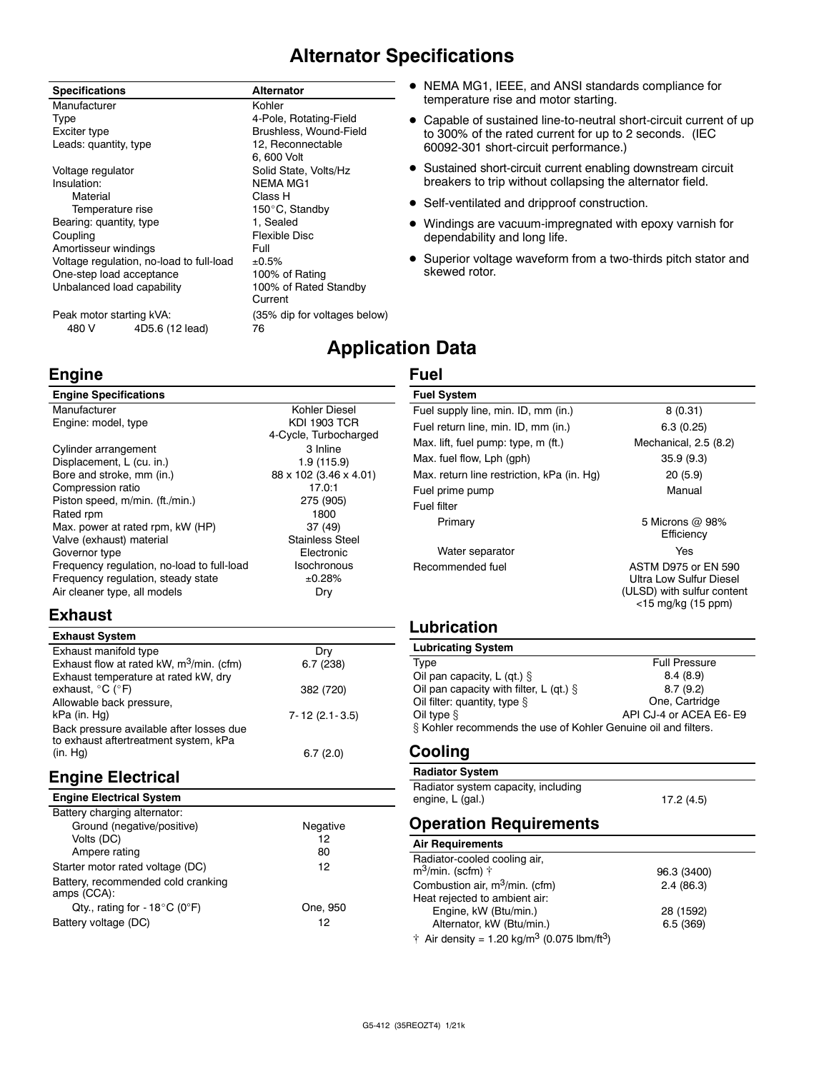## **Alternator Specifications**

#### **Specifications Alternator**

Manufacturer **Kohler** Kohler Type **1998**<br>Exciter type 1998 **Exciter** type 1999 **Brushless**, Wound-Field Leads: quantity, type Voltage regulator **Solid State, Volts/Hz** Insulation: NEMA MG1<br>
Material Class H Material Class H<br>Temperature rise Temporature is the Material Solid 150°C, 9 Bearing: quantity, type Coupling **Flexible Disc** Amortisseur windings Full Voltage regulation, no-load to full-load  $\pm 0.5\%$ <br>One-step load acceptance 100% of Rating One-step load acceptance 100% of Rating<br>
Unbalanced load capability 100% of Rated Standby Unbalanced load capability

4D5.6 (12 lead)

Brushless, Wound-Field<br>12. Reconnectable 6, 600 Volt 150°C, Standby<br>1. Sealed Current Peak motor starting kVA:<br>480 V 4D5.6 (12 lead) 76<br>76

- NEMA MG1, IEEE, and ANSI standards compliance for temperature rise and motor starting.
- Capable of sustained line-to-neutral short-circuit current of up to 300% of the rated current for up to 2 seconds. (IEC 60092-301 short-circuit performance.)
- Sustained short-circuit current enabling downstream circuit breakers to trip without collapsing the alternator field.
- Self-ventilated and dripproof construction.
- Windings are vacuum-impregnated with epoxy varnish for dependability and long life.
- Superior voltage waveform from a two-thirds pitch stator and skewed rotor.

## **Application Data**

## **Fuel**

#### **Engine Specifications** Manufacturer **Kohler Diesel** Engine: model, type KDI 1903 TCR 4-Cycle, Turbocharged Cylinder arrangement 3 Inline<br>
Displacement, L (cu. in.) 3 2 1.9 (115.9) Displacement, L (cu. in.) 1.9 (115.9)<br>Bore and stroke, mm (in.) 88 x 102 (3.46 x 4.01) Bore and stroke, mm (in.) Compression ratio 17.0:1 Piston speed, m/min. (ft./min.) 275 (905) Rated rpm Max. power at rated rpm, kW (HP) 37 (49) Valve (exhaust) material values Stainless Steel Governor type **Electronic** Frequency regulation, no-load to full-load Isochronous<br>Frequency requlation, steady state  $\pm 0.28\%$ Frequency requlation, steady state Air cleaner type, all models Dry

## **Exhaust**

**Engine**

#### **Exhaust System** Exhaust manifold type Dry Dry Dry<br>Exhaust flow at rated kW,  $m^3$ /min. (cfm) 6.7 (238) Exhaust flow at rated kW,  $m^3/m$ in. (cfm) Exhaust temperature at rated kW, dry exhaust,  $^{\circ}C$  ( $^{\circ}F$ ) 382 (720) Allowable back pressure,<br>kPa (in. Hg) 7- 12 (2.1- 3.5) Back pressure available after losses due to exhaust aftertreatment system, kPa (in. Hg) 6.7 (2.0)

## **Engine Electrical**

| Negative |
|----------|
| 12       |
| 80       |
| 12       |
|          |
| One, 950 |
| 12       |
|          |

| <b>Fuel System</b>                         |                                                                                                              |
|--------------------------------------------|--------------------------------------------------------------------------------------------------------------|
| Fuel supply line, min. ID, mm (in.)        | 8(0.31)                                                                                                      |
| Fuel return line, min. ID, mm (in.)        | 6.3(0.25)                                                                                                    |
| Max. lift, fuel pump: type, m (ft.)        | Mechanical, 2.5 (8.2)                                                                                        |
| Max. fuel flow, Lph (gph)                  | 35.9(9.3)                                                                                                    |
| Max. return line restriction, kPa (in. Hq) | 20(5.9)                                                                                                      |
| Fuel prime pump                            | Manual                                                                                                       |
| Fuel filter                                |                                                                                                              |
| Primary                                    | 5 Microns $\omega$ 98%<br>Efficiency                                                                         |
| Water separator                            | Yes                                                                                                          |
| Recommended fuel                           | <b>ASTM D975 or EN 590</b><br>Ultra Low Sulfur Diesel<br>(ULSD) with sulfur content<br>$<$ 15 mg/kg (15 ppm) |

## **Lubrication**

| <b>Lubricating System</b>                                      |                        |  |
|----------------------------------------------------------------|------------------------|--|
| Type                                                           | <b>Full Pressure</b>   |  |
| Oil pan capacity, L (qt.) $\S$                                 | 8.4(8.9)               |  |
| Oil pan capacity with filter, L (qt.) $\S$                     | 8.7(9.2)               |  |
| Oil filter: quantity, type $\S$                                | One, Cartridge         |  |
| Oil type $§$                                                   | API CJ-4 or ACEA E6-E9 |  |
| § Kohler recommends the use of Kohler Genuine oil and filters. |                        |  |

## **Cooling**

#### **Radiator System**

Radiator system capacity, including engine, L (gal.) 17.2 (4.5)

## **Operation Requirements**

| <b>Air Requirements</b>                                                     |             |
|-----------------------------------------------------------------------------|-------------|
| Radiator-cooled cooling air,<br>$m^3$ /min. (scfm) $\dagger$                | 96.3 (3400) |
| Combustion air, m <sup>3</sup> /min. (cfm)                                  | 2.4(86.3)   |
| Heat rejected to ambient air:                                               |             |
| Engine, kW (Btu/min.)                                                       | 28 (1592)   |
| Alternator, kW (Btu/min.)                                                   | 6.5(369)    |
| $\dagger$ Air density = 1.20 kg/m <sup>3</sup> (0.075 lbm/ft <sup>3</sup> ) |             |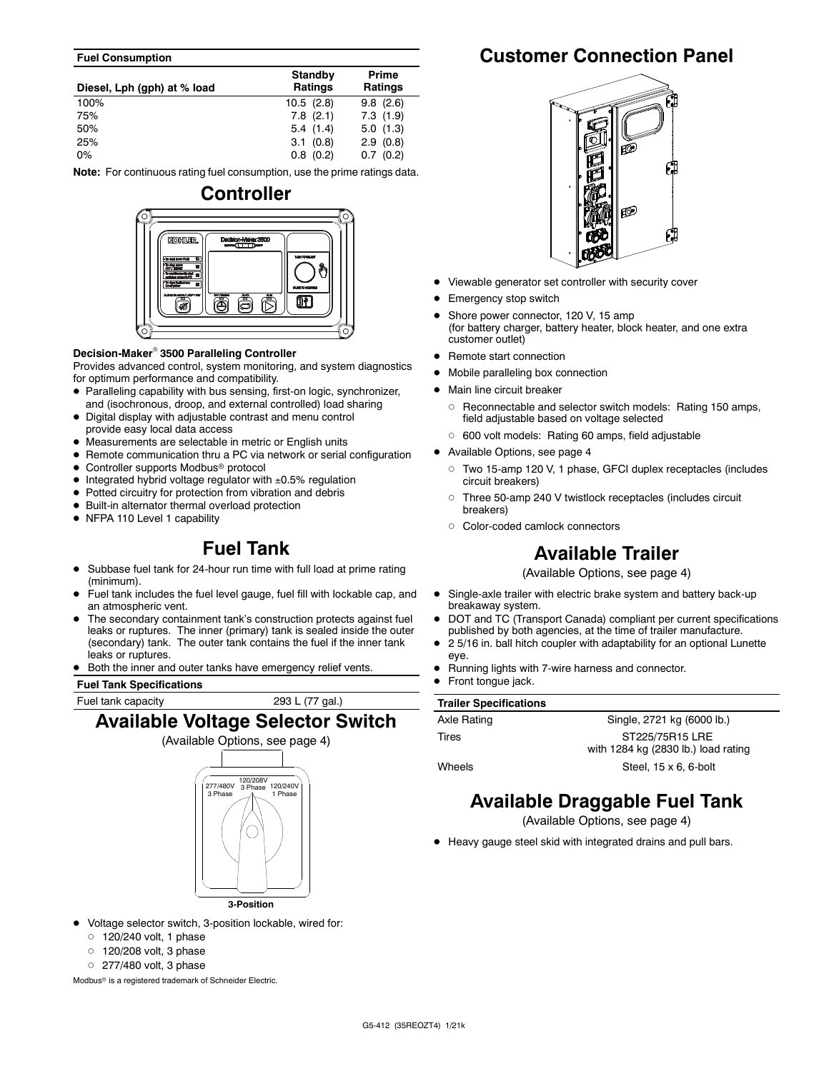#### **Fuel Consumption**

| Diesel, Lph (gph) at % load | Standby<br><b>Ratings</b> | Prime<br><b>Ratings</b> |
|-----------------------------|---------------------------|-------------------------|
| 100%                        | 10.5(2.8)                 | 9.8(2.6)                |
| 75%                         | $7.8$ $(2.1)$             | 7.3(1.9)                |
| 50%                         | 5.4(1.4)                  | 5.0(1.3)                |
| 25%                         | 3.1(0.8)                  | 2.9(0.8)                |
| $0\%$                       | $0.8$ $(0.2)$             | 0.7(0.2)                |

**Note:** For continuous rating fuel consumption, use the prime ratings data.



#### **Decision-Maker 3500 Paralleling Controller**

Provides advanced control, system monitoring, and system diagnostics for optimum performance and compatibility.

- Paralleling capability with bus sensing, first-on logic, synchronizer, and (isochronous, droop, and external controlled) load sharing
- Digital display with adjustable contrast and menu control provide easy local data access
- Measurements are selectable in metric or English units
- Remote communication thru a PC via network or serial configuration
- Controller supports Modbus<sup>®</sup> protocol
- $\bullet$  Integrated hybrid voltage regulator with  $\pm 0.5\%$  regulation
- Potted circuitry for protection from vibration and debris
- Built-in alternator thermal overload protection
- NFPA 110 Level 1 capability

## **Fuel Tank**

- Subbase fuel tank for 24-hour run time with full load at prime rating (minimum).
- Fuel tank includes the fuel level gauge, fuel fill with lockable cap, and an atmospheric vent.
- The secondary containment tank's construction protects against fuel leaks or ruptures. The inner (primary) tank is sealed inside the outer (secondary) tank. The outer tank contains the fuel if the inner tank leaks or ruptures.
- Both the inner and outer tanks have emergency relief vents.

**Fuel Tank Specifications**

## Fuel tank capacity 293 L (77 gal.) **Available Voltage Selector Switch**



**3-Position**

- Voltage selector switch, 3-position lockable, wired for:
	- $\circ$  120/240 volt, 1 phase
	- $\circ$   $\,$  120/208 volt, 3 phase
	- $\circ$  277/480 volt, 3 phase

Modbus<sup>®</sup> is a registered trademark of Schneider Electric.

## **Customer Connection Panel**



- Viewable generator set controller with security cover
- Emergency stop switch
- Shore power connector, 120 V, 15 amp (for battery charger, battery heater, block heater, and one extra customer outlet)
- Remote start connection
- Mobile paralleling box connection
- Main line circuit breaker
	- Reconnectable and selector switch models: Rating 150 amps, field adjustable based on voltage selected
	- 600 volt models: Rating 60 amps, field adjustable
- Available Options, see page 4
	- Two 15-amp 120 V, 1 phase, GFCI duplex receptacles (includes circuit breakers)
	- $\circ$  Three 50-amp 240 V twistlock receptacles (includes circuit breakers)
	- Color-coded camlock connectors

## **Available Trailer**

(Available Options, see page 4)

- Single-axle trailer with electric brake system and battery back-up breakaway system.
- DOT and TC (Transport Canada) compliant per current specifications published by both agencies, at the time of trailer manufacture.
- 2 5/16 in. ball hitch coupler with adaptability for an optional Lunette eye.
- Running lights with 7-wire harness and connector.
- Front tongue jack.

#### **Trailer Specifications**

| Axle Rating | Single, 2721 kg (6000 lb.)                             |
|-------------|--------------------------------------------------------|
| Tires       | ST225/75R15 LRE<br>with 1284 kg (2830 lb.) load rating |
|             |                                                        |
| Wheels      | Steel, $15 \times 6$ , 6-bolt                          |

## **Available Draggable Fuel Tank**

(Available Options, see page 4)

Heavy gauge steel skid with integrated drains and pull bars.